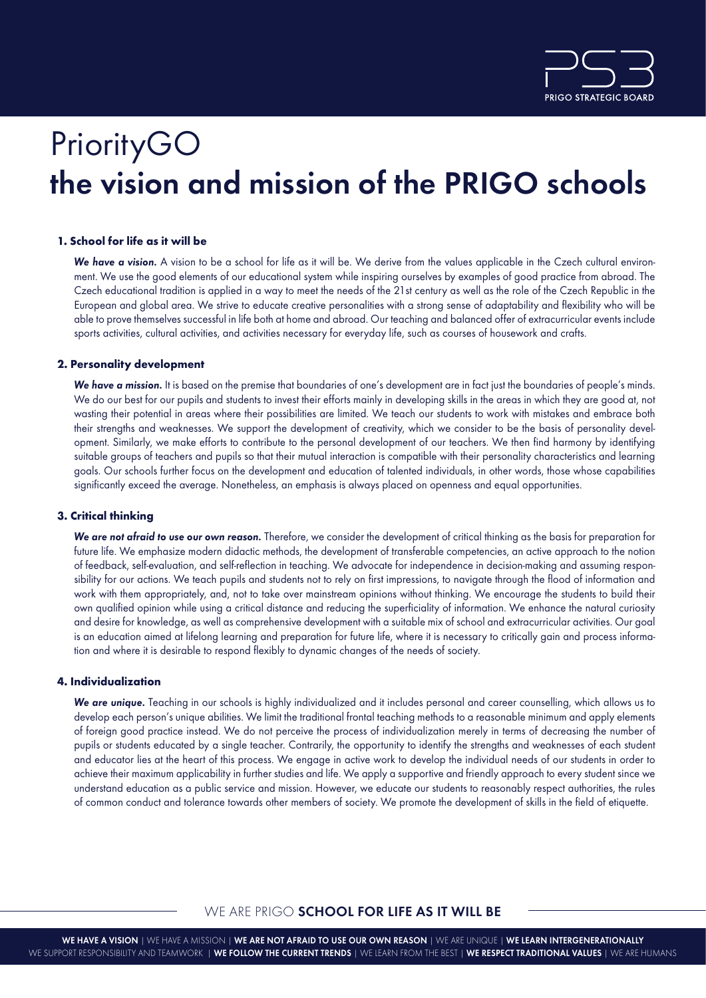

# **PriorityGO** the vision and mission of the PRIGO schools

## **1. School for life as it will be**

We have a vision. A vision to be a school for life as it will be. We derive from the values applicable in the Czech cultural environment. We use the good elements of our educational system while inspiring ourselves by examples of good practice from abroad. The Czech educational tradition is applied in a way to meet the needs of the 21st century as well as the role of the Czech Republic in the European and global area. We strive to educate creative personalities with a strong sense of adaptability and flexibility who will be able to prove themselves successful in life both at home and abroad. Our teaching and balanced offer of extracurricular events include sports activities, cultural activities, and activities necessary for everyday life, such as courses of housework and crafts.

## **2. Personality development**

We have a mission. It is based on the premise that boundaries of one's development are in fact just the boundaries of people's minds. We do our best for our pupils and students to invest their efforts mainly in developing skills in the areas in which they are good at, not wasting their potential in areas where their possibilities are limited. We teach our students to work with mistakes and embrace both their strengths and weaknesses. We support the development of creativity, which we consider to be the basis of personality development. Similarly, we make efforts to contribute to the personal development of our teachers. We then find harmony by identifying suitable groups of teachers and pupils so that their mutual interaction is compatible with their personality characteristics and learning goals. Our schools further focus on the development and education of talented individuals, in other words, those whose capabilities significantly exceed the average. Nonetheless, an emphasis is always placed on openness and equal opportunities.

## **3. Critical thinking**

We are not afraid to use our own reason. Therefore, we consider the development of critical thinking as the basis for preparation for future life. We emphasize modern didactic methods, the development of transferable competencies, an active approach to the notion of feedback, self-evaluation, and self-reflection in teaching. We advocate for independence in decision-making and assuming responsibility for our actions. We teach pupils and students not to rely on first impressions, to navigate through the flood of information and work with them appropriately, and, not to take over mainstream opinions without thinking. We encourage the students to build their own qualified opinion while using a critical distance and reducing the superficiality of information. We enhance the natural curiosity and desire for knowledge, as well as comprehensive development with a suitable mix of school and extracurricular activities. Our goal is an education aimed at lifelong learning and preparation for future life, where it is necessary to critically gain and process information and where it is desirable to respond flexibly to dynamic changes of the needs of society.

## **4. Individualization**

We are unique. Teaching in our schools is highly individualized and it includes personal and career counselling, which allows us to develop each person's unique abilities. We limit the traditional frontal teaching methods to a reasonable minimum and apply elements of foreign good practice instead. We do not perceive the process of individualization merely in terms of decreasing the number of pupils or students educated by a single teacher. Contrarily, the opportunity to identify the strengths and weaknesses of each student and educator lies at the heart of this process. We engage in active work to develop the individual needs of our students in order to achieve their maximum applicability in further studies and life. We apply a supportive and friendly approach to every student since we understand education as a public service and mission. However, we educate our students to reasonably respect authorities, the rules of common conduct and tolerance towards other members of society. We promote the development of skills in the field of etiquette.

## WE ARE PRIGO SCHOOL FOR LIFE AS IT WILL BE

WE HAVE A VISION | WE HAVE A MISSION | WE ARE NOT AFRAID TO USE OUR OWN REASON | WE ARE UNIQUE | WE LEARN INTERGENERATIONALLY WE SUPPORT RESPONSIBILITY AND TEAMWORK | WE FOLLOW THE CURRENT TRENDS | WE LEARN FROM THE BEST | WE RESPECT TRADITIONAL VALUES | WE ARE HUMANS